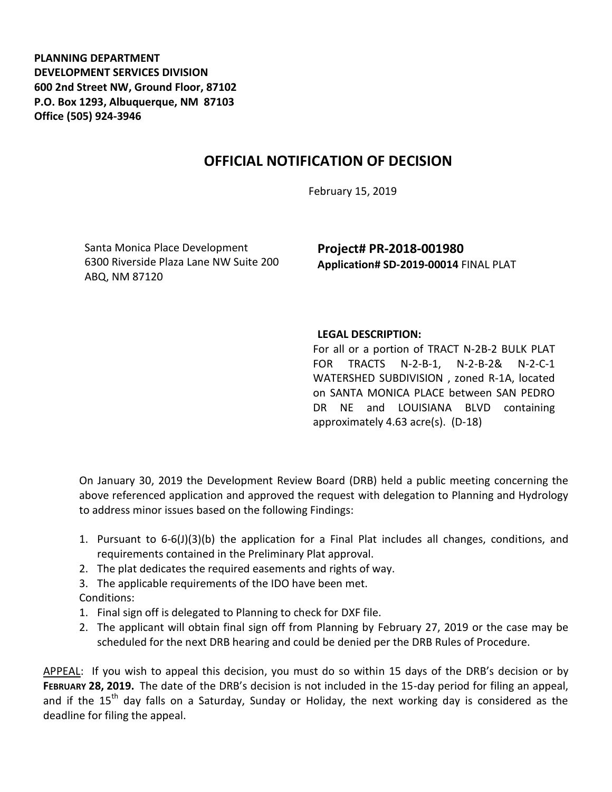**PLANNING DEPARTMENT DEVELOPMENT SERVICES DIVISION 600 2nd Street NW, Ground Floor, 87102 P.O. Box 1293, Albuquerque, NM 87103 Office (505) 924-3946** 

## **OFFICIAL NOTIFICATION OF DECISION**

February 15, 2019

Santa Monica Place Development 6300 Riverside Plaza Lane NW Suite 200 ABQ, NM 87120

**Project# PR-2018-001980 Application# SD-2019-00014** FINAL PLAT

## **LEGAL DESCRIPTION:**

For all or a portion of TRACT N-2B-2 BULK PLAT FOR TRACTS N-2-B-1, N-2-B-2& N-2-C-1 WATERSHED SUBDIVISION , zoned R-1A, located on SANTA MONICA PLACE between SAN PEDRO DR NE and LOUISIANA BLVD containing approximately 4.63 acre(s). (D-18)

On January 30, 2019 the Development Review Board (DRB) held a public meeting concerning the above referenced application and approved the request with delegation to Planning and Hydrology to address minor issues based on the following Findings:

- 1. Pursuant to 6-6(J)(3)(b) the application for a Final Plat includes all changes, conditions, and requirements contained in the Preliminary Plat approval.
- 2. The plat dedicates the required easements and rights of way.

3. The applicable requirements of the IDO have been met. Conditions:

- 1. Final sign off is delegated to Planning to check for DXF file.
- 2. The applicant will obtain final sign off from Planning by February 27, 2019 or the case may be scheduled for the next DRB hearing and could be denied per the DRB Rules of Procedure.

APPEAL: If you wish to appeal this decision, you must do so within 15 days of the DRB's decision or by **FEBRUARY 28, 2019.** The date of the DRB's decision is not included in the 15-day period for filing an appeal, and if the 15<sup>th</sup> day falls on a Saturday, Sunday or Holiday, the next working day is considered as the deadline for filing the appeal.